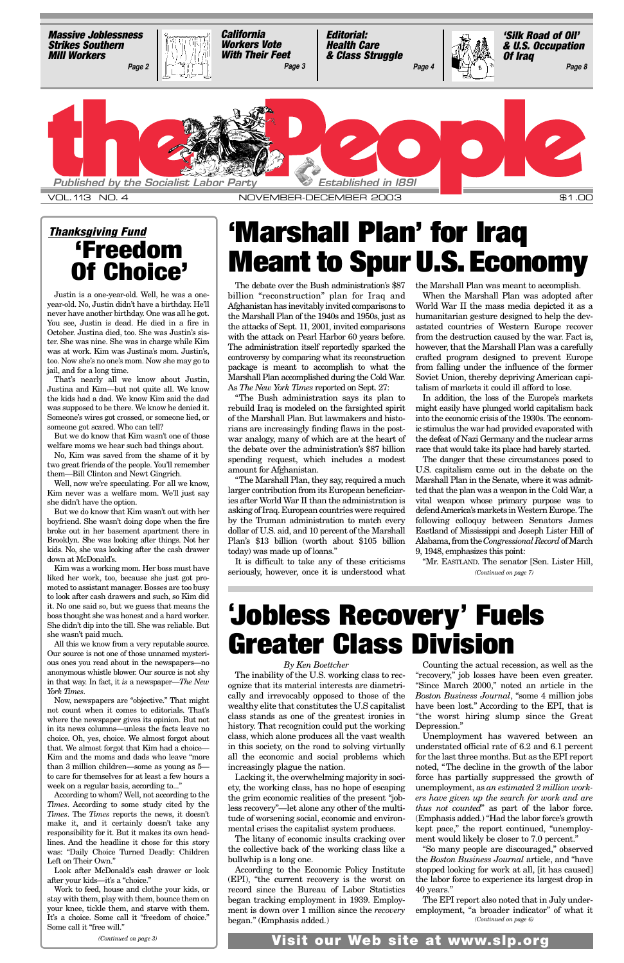The debate over the Bush administration's \$87 billion "reconstruction" plan for Iraq and Afghanistan has inevitably invited comparisons to the Marshall Plan of the 1940s and 1950s, just as the attacks of Sept. 11, 2001, invited comparisons with the attack on Pearl Harbor 60 years before. The administration itself reportedly sparked the controversy by comparing what its reconstruction package is meant to accomplish to what the Marshall Plan accomplished during the Cold War. As *The New York Times* reported on Sept. 27:

"The Bush administration says its plan to rebuild Iraq is modeled on the farsighted spirit of the Marshall Plan. But lawmakers and historians are increasingly finding flaws in the postwar analogy, many of which are at the heart of the debate over the administration's \$87 billion spending request, which includes a modest amount for Afghanistan.

"The Marshall Plan, they say, required a much larger contribution from its European beneficiaries after World War II than the administration is asking of Iraq. European countries were required by the Truman administration to match every dollar of U.S. aid, and 10 percent of the Marshall Plan's \$13 billion (worth about \$105 billion today) was made up of loans."

It is difficult to take any of these criticisms seriously, however, once it is understood what the Marshall Plan was meant to accomplish.

When the Marshall Plan was adopted after World War II the mass media depicted it as a humanitarian gesture designed to help the devastated countries of Western Europe recover from the destruction caused by the war. Fact is, however, that the Marshall Plan was a carefully crafted program designed to prevent Europe from falling under the influence of the former Soviet Union, thereby depriving American capitalism of markets it could ill afford to lose.

In addition, the loss of the Europe's markets might easily have plunged world capitalism back into the economic crisis of the 1930s. The economic stimulus the war had provided evaporated with the defeat of Nazi Germany and the nuclear arms race that would take its place had barely started.

The danger that these circumstances posed to U.S. capitalism came out in the debate on the Marshall Plan in the Senate, where it was admitted that the plan was a weapon in the Cold War, a vital weapon whose primary purpose was to defend America's markets in Western Europe. The following colloquy between Senators James Eastland of Mississippi and Joseph Lister Hill of Alabama, from the *Congressional Record*of March 9, 1948, emphasizes this point:

# **'Marshall Plan' for Iraq Meant to Spur U.S.Economy**

Justin is a one-year-old. Well, he was a oneyear-old. No, Justin didn't have a birthday. He'll never have another birthday. One was all he got. You see, Justin is dead. He died in a fire in October. Justina died, too. She was Justin's sister. She was nine. She was in charge while Kim was at work. Kim was Justina's mom. Justin's, too. Now she's no one's mom. Now she may go to jail, and for a long time.

That's nearly all we know about Justin, Justina and Kim—but not quite all. We know the kids had a dad. We know Kim said the dad was supposed to be there. We know he denied it. Someone's wires got crossed, or someone lied, or someone got scared. Who can tell?

But we do know that Kim wasn't one of those welfare moms we hear such bad things about.

No, Kim was saved from the shame of it by two great friends of the people. You'll remember them—Bill Clinton and Newt Gingrich.

Well, now we're speculating. For all we know, Kim never was a welfare mom. We'll just say she didn't have the option.

But we do know that Kim wasn't out with her boyfriend. She wasn't doing dope when the fire broke out in her basement apartment there in Brooklyn. She was looking after things. Not her kids. No, she was looking after the cash drawer down at McDonald's.

Kim was a working mom. Her boss must have liked her work, too, because she just got promoted to assistant manager. Bosses are too busy to look after cash drawers and such, so Kim did it. No one said so, but we guess that means the boss thought she was honest and a hard worker. She didn't dip into the till. She was reliable. But she wasn't paid much.

All this we know from a very reputable source. Our source is not one of those unnamed mysterious ones you read about in the newspapers—no anonymous whistle blower. Our source is not shy in that way. In fact, it *is* a newspaper—*The New York Times*.

Now, newspapers are "objective." That might not count when it comes to editorials. That's where the newspaper gives its opinion. But not in its news columns—unless the facts leave no choice. Oh, yes, choice. We almost forgot about that. We almost forgot that Kim had a choice— Kim and the moms and dads who leave "more than 3 million children—some as young as 5 to care for themselves for at least a few hours a week on a regular basis, according to..." According to whom? Well, not according to the *Times*. According to some study cited by the *Times*. The *Times* reports the news, it doesn't make it, and it certainly doesn't take any responsibility for it. But it makes its own headlines. And the headline it chose for this story was: "Daily Choice Turned Deadly: Children Left on Their Own." Look after McDonald's cash drawer or look after your kids—it's a "choice." Work to feed, house and clothe your kids, or stay with them, play with them, bounce them on your knee, tickle them, and starve with them. It's a choice. Some call it "freedom of choice." Some call it "free will."

"Mr. EASTLAND. The senator [Sen. Lister Hill, *(Continued on page 7)*

<span id="page-0-0"></span>

### *Thanksgiving Fund* **'Freedom Of Choice'**

# **' Jobless Recovery' Fuels Greater Class Division**

*By Ken Boettcher*

The inability of the U.S. working class to recognize that its material interests are diametrically and irrevocably opposed to those of the wealthy elite that constitutes the U.S capitalist class stands as one of the greatest ironies in history. That recognition could put the working class, which alone produces all the vast wealth in this society, on the road to solving virtually all the economic and social problems which increasingly plague the nation. Lacking it, the overwhelming majority in society, the working class, has no hope of escaping the grim economic realities of the present "jobless recovery"—let alone any other of the multitude of worsening social, economic and environmental crises the capitalist system produces. The litany of economic insults cracking over the collective back of the working class like a bullwhip is a long one. According to the Economic Policy Institute (EPI), "the current recovery is the worst on record since the Bureau of Labor Statistics began tracking employment in 1939. Employment is down over 1 million since the *recovery* began." (Emphasis added.)

Counting the actual recession, as well as the "recovery," job losses have been even greater. "Since March 2000," noted an article in the *Boston Business Journal*, "some 4 million jobs have been lost." According to the EPI, that is "the worst hiring slump since the Great Depression." Unemployment has wavered between an understated official rate of 6.2 and 6.1 percent for the last three months. But as the EPI report noted, "The decline in the growth of the labor force has partially suppressed the growth of unemployment, as *an estimated 2 million workers have given up the search for work and are thus not counted*" as part of the labor force. (Emphasis added.) "Had the labor force's growth kept pace," the report continued, "unemployment would likely be closer to 7.0 percent." "So many people are discouraged," observed the *Boston Business Journal* article, and "have stopped looking for work at all, [it has caused] the labor force to experience its largest drop in 40 years."

The EPI report also noted that in July underemployment, "a broader indicator" of what it *(Continued on page 6)*

**Visit our Web site at www.slp.org** *(Continued on page 3)*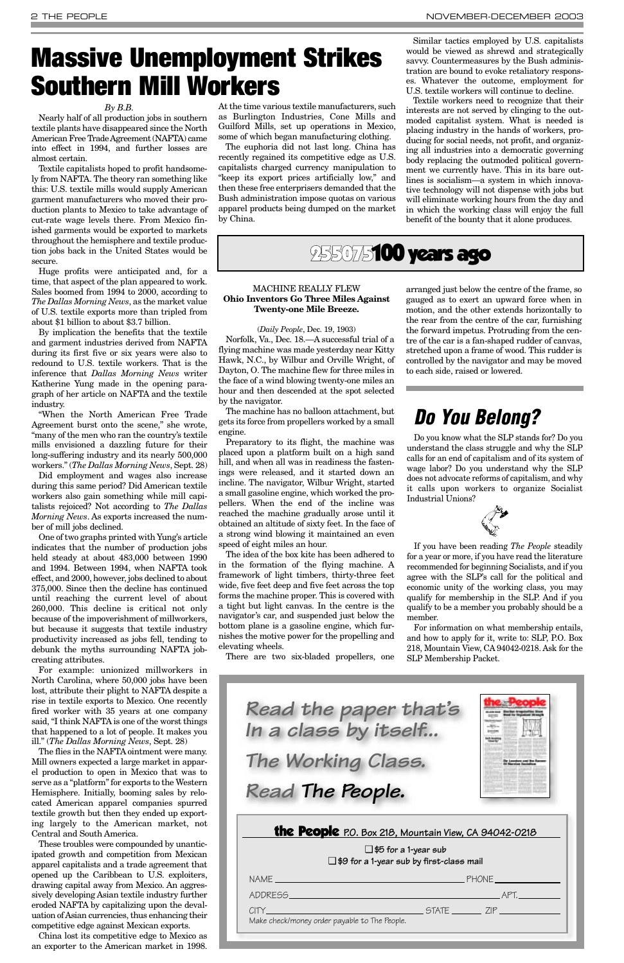At the time various textile manufacturers, such as Burlington Industries, Cone Mills and Guilford Mills, set up operations in Mexico, some of which began manufacturing clothing.

The euphoria did not last long. China has recently regained its competitive edge as U.S. capitalists charged currency manipulation to "keep its export prices artificially low," and then these free enterprisers demanded that the Bush administration impose quotas on various apparel products being dumped on the market by China.

Similar tactics employed by U.S. capitalists would be viewed as shrewd and strategically savvy. Countermeasures by the Bush administration are bound to evoke retaliatory responses. Whatever the outcome, employment for U.S. textile workers will continue to decline.

Textile workers need to recognize that their interests are not served by clinging to the outmoded capitalist system. What is needed is placing industry in the hands of workers, producing for social needs, not profit, and organizing all industries into a democratic governing body replacing the outmoded political government we currently have. This in its bare outlines is socialism—a system in which innovative technology will not dispense with jobs but will eliminate working hours from the day and in which the working class will enjoy the full benefit of the bounty that it alone produces.

### 255075**100 years ago**

#### *By B.B.*

Nearly half of all production jobs in southern textile plants have disappeared since the North American Free Trade Agreement (NAFTA) came into effect in 1994, and further losses are almost certain.

Textile capitalists hoped to profit handsomely from NAFTA. The theory ran something like this: U.S. textile mills would supply American garment manufacturers who moved their production plants to Mexico to take advantage of cut-rate wage levels there. From Mexico finished garments would be exported to markets throughout the hemisphere and textile production jobs back in the United States would be secure.

Huge profits were anticipated and, for a time, that aspect of the plan appeared to work. Sales boomed from 1994 to 2000, according to *The Dallas Morning News*, as the market value of U.S. textile exports more than tripled from about \$1 billion to about \$3.7 billion.

By implication the benefits that the textile and garment industries derived from NAFTA during its first five or six years were also to redound to U.S. textile workers. That is the inference that *Dallas Morning News* writer Katherine Yung made in the opening paragraph of her article on NAFTA and the textile industry.

"When the North American Free Trade Agreement burst onto the scene," she wrote, "many of the men who ran the country's textile mills envisioned a dazzling future for their long-suffering industry and its nearly 500,000 workers." (*The Dallas Morning News*, Sept. 28)

Did employment and wages also increase during this same period? Did American textile workers also gain something while mill capitalists rejoiced? Not according to *The Dallas Morning News*. As exports increased the number of mill jobs declined.

One of two graphs printed with Yung's article indicates that the number of production jobs held steady at about 483,000 between 1990 and 1994. Between 1994, when NAFTA took effect, and 2000, however, jobs declined to about 375,000. Since then the decline has continued until reaching the current level of about 260,000. This decline is critical not only because of the impoverishment of millworkers, but because it suggests that textile industry productivity increased as jobs fell, tending to debunk the myths surrounding NAFTA jobcreating attributes.

For example: unionized millworkers in North Carolina, where 50,000 jobs have been lost, attribute their plight to NAFTA despite a rise in textile exports to Mexico. One recently fired worker with 35 years at one company said, "I think NAFTA is one of the worst things that happened to a lot of people. It makes you ill." (*The Dallas Morning News*, Sept. 28) The flies in the NAFTA ointment were many. Mill owners expected a large market in apparel production to open in Mexico that was to serve as a "platform" for exports to the Western Hemisphere. Initially, booming sales by relocated American apparel companies spurred textile growth but then they ended up exporting largely to the American market, not Central and South America. These troubles were compounded by unanticipated growth and competition from Mexican apparel capitalists and a trade agreement that opened up the Caribbean to U.S. exploiters, drawing capital away from Mexico. An aggressively developing Asian textile industry further eroded NAFTA by capitalizing upon the devaluation of Asian currencies, thus enhancing their competitive edge against Mexican exports.

China lost its competitive edge to Mexico as an exporter to the American market in 1998.

## *Do You Belong?*

Do you know what the SLP stands for? Do you understand the class struggle and why the SLP calls for an end of capitalism and of its system of wage labor? Do you understand why the SLP does not advocate reforms of capitalism, and why it calls upon workers to organize Socialist Industrial Unions?



If you have been reading *The People* steadily for a year or more, if you have read the literature recommended for beginning Socialists, and if you agree with the SLP's call for the political and economic unity of the working class, you may qualify for membership in the SLP. And if you qualify to be a member you probably should be a member.

For information on what membership entails, and how to apply for it, write to: SLP, P.O. Box 218, Mountain View, CA 94042-0218. Ask for the SLP Membership Packet.



|  | the People P.O. Box 218, Mountain View, CA 94042-0218 |  |
|--|-------------------------------------------------------|--|
|  |                                                       |  |

❑ **\$5 for a 1-year sub** ❑ **\$9 for a 1-year sub by first-class mail** NAME PHONE ADDRESS APT. CITY STATE ZIP Make check/money order payable to The People.

*Read the paper that's In a class by itself... The Working Class. Read The People.*



# <span id="page-1-0"></span>**Massive Unemployment Strikes Southern Mill Workers**

#### MACHINE REALLY FLEW **Ohio Inventors Go Three Miles Against Twenty-one Mile Breeze.**

(*Daily People*, Dec. 19, 1903) Norfolk, Va., Dec. 18.—A successful trial of a flying machine was made yesterday near Kitty Hawk, N.C., by Wilbur and Orville Wright, of Dayton, O. The machine flew for three miles in the face of a wind blowing twenty-one miles an hour and then descended at the spot selected by the navigator.

The machine has no balloon attachment, but gets its force from propellers worked by a small engine.

Preparatory to its flight, the machine was placed upon a platform built on a high sand hill, and when all was in readiness the fastenings were released, and it started down an incline. The navigator, Wilbur Wright, started a small gasoline engine, which worked the propellers. When the end of the incline was reached the machine gradually arose until it obtained an altitude of sixty feet. In the face of a strong wind blowing it maintained an even speed of eight miles an hour.

The idea of the box kite has been adhered to in the formation of the flying machine. A framework of light timbers, thirty-three feet wide, five feet deep and five feet across the top forms the machine proper. This is covered with a tight but light canvas. In the centre is the navigator's car, and suspended just below the bottom plane is a gasoline engine, which furnishes the motive power for the propelling and elevating wheels.

There are two six-bladed propellers, one

arranged just below the centre of the frame, so gauged as to exert an upward force when in motion, and the other extends horizontally to the rear from the centre of the car, furnishing the forward impetus. Protruding from the centre of the car is a fan-shaped rudder of canvas, stretched upon a frame of wood. This rudder is controlled by the navigator and may be moved to each side, raised or lowered.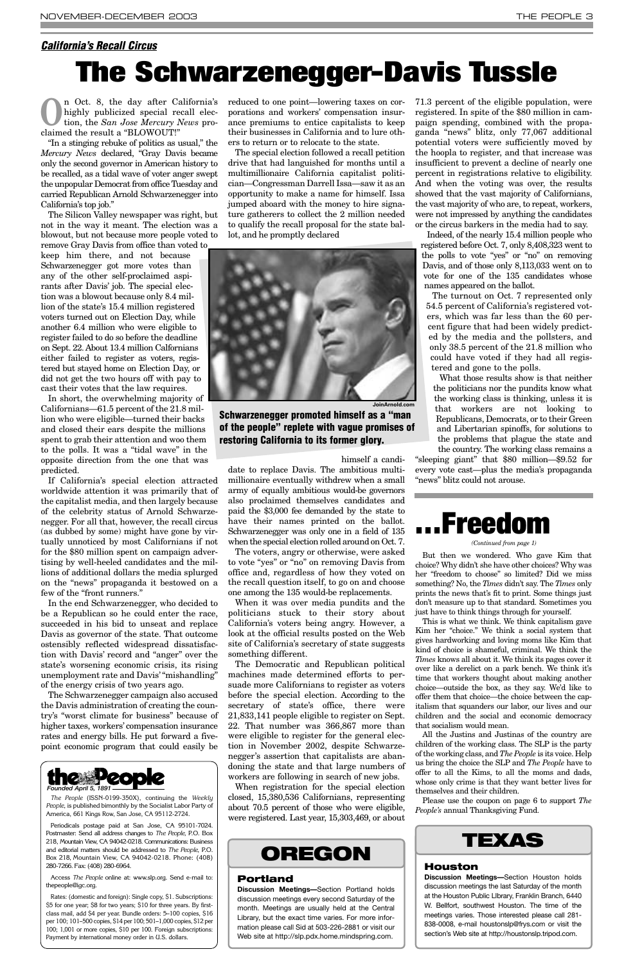**O**n Oct. 8, the day after California's<br>highly publicized special recall elec-<br>tion, the *San Jose Mercury News* prohighly publicized special recall elecclaimed the result a "BLOWOUT!"

"In a stinging rebuke of politics as usual," the *Mercury News* declared, "Gray Davis became only the second governor in American history to be recalled, as a tidal wave of voter anger swept the unpopular Democrat from office Tuesday and carried Republican Arnold Schwarzenegger into California's top job."

The Silicon Valley newspaper was right, but not in the way it meant. The election was a blowout, but not because more people voted to remove Gray Davis from office than voted to

keep him there, and not because Schwarzenegger got more votes than any of the other self-proclaimed aspirants after Davis' job. The special election was a blowout because only 8.4 million of the state's 15.4 million registered voters turned out on Election Day, while another 6.4 million who were eligible to register failed to do so before the deadline on Sept. 22. About 13.4 million Calfornians either failed to register as voters, registered but stayed home on Election Day, or did not get the two hours off with pay to cast their votes that the law requires.

In short, the overwhelming majority of Californians—61.5 percent of the 21.8 million who were eligible—turned their backs and closed their ears despite the millions spent to grab their attention and woo them to the polls. It was a "tidal wave" in the opposite direction from the one that was predicted.

If California's special election attracted worldwide attention it was primarily that of the capitalist media, and then largely because of the celebrity status of Arnold Schwarzenegger. For all that, however, the recall circus (as dubbed by some) might have gone by virtually unnoticed by most Californians if not for the \$80 million spent on campaign advertising by well-heeled candidates and the millions of additional dollars the media splurged on the "news" propaganda it bestowed on a few of the "front runners."

In the end Schwarzenegger, who decided to be a Republican so he could enter the race, succeeded in his bid to unseat and replace Davis as governor of the state. That outcome ostensibly reflected widespread dissatisfaction with Davis' record and "anger" over the state's worsening economic crisis, its rising unemployment rate and Davis' "mishandling" of the energy crisis of two years ago.

The Schwarzenegger campaign also accused the Davis administration of creating the country's "worst climate for business" because of higher taxes, workers' compensation insurance rates and energy bills. He put forward a fivepoint economic program that could easily be

reduced to one point—lowering taxes on corporations and workers' compensation insurance premiums to entice capitalists to keep their businesses in California and to lure others to return or to relocate to the state.

The special election followed a recall petition drive that had languished for months until a multimillionaire California capitalist politician—Congressman Darrell Issa—saw it as an opportunity to make a name for himself. Issa jumped aboard with the money to hire signature gatherers to collect the 2 million needed to qualify the recall proposal for the state ballot, and he promptly declared

himself a candi-

date to replace Davis. The ambitious multimillionaire eventually withdrew when a small army of equally ambitious would-be governors also proclaimed themselves candidates and paid the \$3,000 fee demanded by the state to have their names printed on the ballot. Schwarzenegger was only one in a field of 135 when the special election rolled around on Oct. 7.

The voters, angry or otherwise, were asked to vote "yes" or "no" on removing Davis from office and, regardless of how they voted on the recall question itself, to go on and choose one among the 135 would-be replacements.

When it was over media pundits and the politicians stuck to their story about California's voters being angry. However, a look at the official results posted on the Web site of California's secretary of state suggests something different.

The Democratic and Republican political machines made determined efforts to persuade more Californians to register as voters before the special election. According to the secretary of state's office, there were 21,833,141 people eligible to register on Sept. 22. That number was 366,867 more than were eligible to register for the general election in November 2002, despite Schwarzenegger's assertion that capitalists are abandoning the state and that large numbers of workers are following in search of new jobs. When registration for the special election closed, 15,380,536 Californians, representing about 70.5 percent of those who were eligible, were registered. Last year, 15,303,469, or about

71.3 percent of the eligible population, were registered. In spite of the \$80 million in campaign spending, combined with the propaganda "news" blitz, only 77,067 additional potential voters were sufficiently moved by the hoopla to register, and that increase was insufficient to prevent a decline of nearly one percent in registrations relative to eligibility. And when the voting was over, the results showed that the vast majority of Californians, the vast majority of who are, to repeat, workers, were not impressed by anything the candidates or the circus barkers in the media had to say.

Indeed, of the nearly 15.4 million people who registered before Oct. 7, only 8,408,323 went to the polls to vote "yes" or "no" on removing Davis, and of those only 8,113,033 went on to vote for one of the 135 candidates whose names appeared on the ballot.

The turnout on Oct. 7 represented only 54.5 percent of California's registered voters, which was far less than the 60 percent figure that had been widely predicted by the media and the pollsters, and only 38.5 percent of the 21.8 million who could have voted if they had all registered and gone to the polls.

What those results show is that neither the politicians nor the pundits know what the working class is thinking, unless it is that workers are not looking to Republicans, Democrats, or to their Green and Libertarian spinoffs, for solutions to the problems that plague the state and the country. The working class remains a

"sleeping giant" that \$80 million—\$9.52 for every vote cast—plus the media's propaganda "news" blitz could not arouse.

#### <span id="page-2-0"></span>*California's Recall Circus*

# **The Schwarzenegger-Davis Tussle**



*The People* (ISSN-0199-350X), continuing the *Weekly People*, is published bimonthly by the Socialist Labor Party of America, 661 Kings Row, San Jose, CA 95112-2724.

Periodicals postage paid at San Jose, CA 95101-7024. Postmaster: Send all address changes to *The People*, P.O. Box 218, Mountain View, CA 94042-0218. Communications: Business and editorial matters should be addressed to *The People*, P.O. Box 218, Mountain View, CA 94042-0218. Phone: (408) 280-7266. Fax: (408) 280-6964.

Access *The People* online at: www.slp.org. Send e-mail to: thepeople@igc.org.

Rates: (domestic and foreign): Single copy, \$1. Subscriptions: \$5 for one year; \$8 for two years; \$10 for three years. By firstclass mail, add \$4 per year. Bundle orders: 5–100 copies, \$16 per 100; 101–500 copies, \$14 per 100; 501–1,000 copies, \$12 per 100; 1,001 or more copies, \$10 per 100. Foreign subscriptions: Payment by international money order in U.S. dollars.

**Schwarzenegger promoted himself as a "man of the people" replete with vague promises of restoring California to its former glory.**



### **TEXAS**

#### **Houston**

**Discussion Meetings—**Section Houston holds discussion meetings the last Saturday of the month at the Houston Public LIbrary, Franklin Branch, 6440 W. Bellfort, southwest Houston. The time of the meetings varies. Those interested please call 281- 838-0008, e-mail houstonslp@frys.com or visit the section's Web site at http://houstonslp.tripod.com.

## **OREGON**

#### **Portland**

**Discussion Meetings—**Section Portland holds discussion meetings every second Saturday of the month. Meetings are usually held at the Central Library, but the exact time varies. For more information please call Sid at 503-226-2881 or visit our Web site at http://slp.pdx.home.mindspring.com.

But then we wondered. Who gave Kim that choice? Why didn't she have other choices? Why was her "freedom to choose" so limited? Did we miss something? No, the *Times* didn't say. The *Times* only prints the news that's fit to print. Some things just don't measure up to that standard. Sometimes you just have to think things through for yourself.

This is what we think. We think capitalism gave Kim her "choice." We think a social system that gives hardworking and loving moms like Kim that kind of choice is shameful, criminal. We think the *Times* knows all about it. We think its pages cover it over like a derelict on a park bench. We think it's time that workers thought about making another choice—outside the box, as they say. We'd like to offer them that choice—the choice between the capitalism that squanders our labor, our lives and our children and the social and economic democracy that socialism would mean. All the Justins and Justinas of the country are children of the working class. The SLP is the party of the working class, and *The People* is its voice. Help us bring the choice the SLP and *The People* have to offer to all the Kims, to all the moms and dads, whose only crime is that they want better lives for themselves and their children.

Please use the coupon on page 6 to support *The People's* annual Thanksgiving Fund.

# **. . . Freedom**

#### *(Continued from page 1)*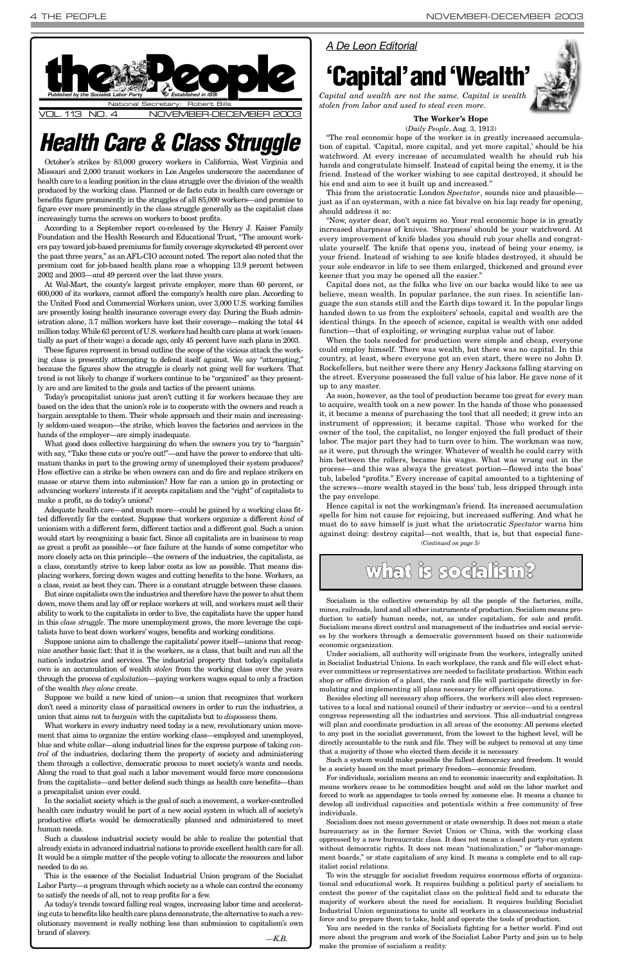October's strikes by 83,000 grocery workers in California, West Virginia and Missouri and 2,000 transit workers in Los Angeles underscore the ascendance of health care to a leading position in the class struggle over the division of the wealth produced by the working class. Planned or de facto cuts in health care coverage or benefits figure prominently in the struggles of all 85,000 workers—and promise to figure ever more prominently in the class struggle generally as the capitalist class increasingly turns the screws on workers to boost profits.

According to a September report co-released by the Henry J. Kaiser Family Foundation and the Health Research and Educational Trust, "The amount workers pay toward job-based premiums for family coverage skyrocketed 49 percent over the past three years," as an AFL-CIO account noted. The report also noted that the premium cost for job-based health plans rose a whopping 13.9 percent between 2002 and 2003—and 49 percent over the last three years.

At Wal-Mart, the county's largest private employer, more than 60 percent, or 600,000 of its workers, cannot afford the company's health care plan. According to the United Food and Commercial Workers union, over 3,000 U.S. working families are presently losing health insurance coverage every day. During the Bush administration alone, 3.7 million workers have lost their coverage—making the total 44 million today. While 63 percent of U.S. workers had health care plans at work (essentially as part of their wage) a decade ago, only 45 percent have such plans in 2003.

What good does collective bargaining do when the owners you try to "bargain" with say, "Take these cuts or you're out!"—and have the power to enforce that ultimatum thanks in part to the growing army of unemployed their system produces? How effective can a strike be when owners can and do fire and replace strikers en masse or starve them into submission? How far can a union go in protecting or advancing workers' interests if it accepts capitalism and the "right" of capitalists to make a profit, as do today's unions?

These figures represent in broad outline the scope of the vicious attack the working class is presently attempting to defend itself against. We say "attempting," because the figures show the struggle is clearly not going well for workers. That trend is not likely to change if workers continue to be "organized" as they presently are and are limited to the goals and tactics of the present unions.

Today's procapitalist unions just aren't cutting it for workers because they are based on the idea that the union's role is to cooperate with the owners and reach a bargain acceptable to them. Their whole approach and their main and increasingly seldom-used weapon—the strike, which leaves the factories and services in the hands of the employer—are simply inadequate.

What workers in every industry need today is a new, revolutionary union movement that aims to organize the entire working class—employed and unemployed, blue and white collar—along industrial lines for the express purpose of taking *control* of the industries, declaring them the property of society and administering them through a collective, democratic process to meet society's wants and needs. Along the road to that goal such a labor movement would force more concessions from the capitalists—and better defend such things as health care benefits—than a procapitalist union ever could.

Adequate health care—and much more—could be gained by a working class fitted differently for the contest. Suppose that workers organize a different *kind* of unionism with a different form, different tactics and a different goal. Such a union would start by recognizing a basic fact. Since all capitalists are in business to reap as great a profit as possible—or face failure at the hands of some competitor who more closely acts on this principle—the owners of the industries, the capitalists, as a class, constantly strive to keep labor costs as low as possible. That means displacing workers, forcing down wages and cutting benefits to the bone. Workers, as a class, resist as best they can. There is a constant struggle between these classes.

But since capitalists own the industries and therefore have the power to shut them down, move them and lay off or replace workers at will, and workers must sell their ability to work to the capitalists in order to live, the capitalists have the upper hand in this *class struggle*. The more unemployment grows, the more leverage the capitalists have to beat down workers' wages, benefits and working conditions.

Suppose unions aim to challenge the capitalists' power itself—unions that recognize another basic fact: that it is the workers, as a class, that built and run all the nation's industries and services. The industrial property that today's capitalists own is an accumulation of wealth *stolen* from the working class over the years through the process of *exploitation—*paying workers wages equal to only a fraction of the wealth *they alone* create.

Suppose we build a new kind of union—a union that recognizes that workers don't need a minority class of parasitical owners in order to run the industries, union that aims not to *bargain* with the capitalists but to *dispossess* them.

<span id="page-3-0"></span>

In the socialist society which is the goal of such a movement, a worker-controlled health care industry would be part of a new social system in which all of society's productive efforts would be democratically planned and administered to meet human needs.

Such a classless industrial society would be able to realize the potential that already exists in advanced industrial nations to provide excellent health care for all. It would be a simple matter of the people voting to allocate the resources and labor needed to do so.

This is the essence of the Socialist Industrial Union program of the Socialist Labor Party—a program through which society as a whole can control the economy to satisfy the needs of all, not to reap profits for a few.

As today's trends toward falling real wages, increasing labor time and accelerating cuts to benefits like health care plans demonstrate, the alternative to such a revolutionary movement is really nothing less than submission to capitalism's own brand of slavery. *—K.B.*

#### **The Worker's Hope** (*Daily People*, Aug. 3, 1913)

"The real economic hope of the worker is in greatly increased accumulation of capital. 'Capital, more capital, and yet more capital,' should be his watchword. At every increase of accumulated wealth he should rub his hands and congratulate himself. Instead of capital being the enemy, it is the friend. Instead of the worker wishing to see capital destroyed, it should be his end and aim to see it built up and increased."

This from the aristocratic London *Spectator*, sounds nice and plausible just as if an oysterman, with a nice fat bivalve on his lap ready for opening, should address it so:

"Now, oyster dear, don't squirm so. Your real economic hope is in greatly increased sharpness of knives. 'Sharpness' should be your watchword. At every improvement of knife blades you should rub your shells and congratulate yourself. The knife that opens you, instead of being your enemy, is your friend. Instead of wishing to see knife blades destroyed, it should be your sole endeavor in life to see them enlarged, thickened and ground ever keener that you may be opened all the easier."

Capital does not, as the folks who live on our backs would like to see us believe, mean wealth. In popular parlance, the sun rises. In scientific language the sun stands still and the Earth dips toward it. In the popular lingo handed down to us from the exploiters' schools, capital and wealth are the identical things. In the speech of science, capital is wealth with one added function—that of exploiting, or wringing surplus value out of labor.

When the tools needed for production were simple and cheap, everyone could employ himself. There was wealth, but there was no capital. In this country, at least, where everyone got an even start, there were no John D. Rockefellers, but neither were there any Henry Jacksons falling starving on the street. Everyone possessed the full value of his labor. He gave none of it up to any master.

As soon, however, as the tool of production became too great for every man to acquire, wealth took on a new power. In the hands of those who possessed it, it became a means of purchasing the tool that all needed; it grew into an instrument of oppression; it became capital. Those who worked for the owner of the tool, the capitalist, no longer enjoyed the full product of their labor. The major part they had to turn over to him. The workman was now, as it were, put through the wringer. Whatever of wealth he could carry with him between the rollers, became his wages. What was wrung out in the process—and this was always the greatest portion—flowed into the boss' tub, labeled "profits." Every increase of capital amounted to a tightening of the screws—more wealth stayed in the boss' tub, less dripped through into the pay envelope.

## *Health Care & Class Struggle*

#### *A De Leon Editorial*

## **'Capital'and'Wealth'**



*Capital and wealth are not the same. Capital is wealth stolen from labor and used to steal even more.*

## what is socialism?

Socialism is the collective ownership by all the people of the factories, mills, mines, railroads, land and all other instruments of production. Socialism means production to satisfy human needs, not, as under capitalism, for sale and profit. Socialism means direct control and management of the industries and social services by the workers through a democratic government based on their nationwide economic organization.

Under socialism, all authority will originate from the workers, integrally united in Socialist Industrial Unions. In each workplace, the rank and file will elect whatever committees or representatives are needed to facilitate production. Within each shop or office division of a plant, the rank and file will participate directly in formulating and implementing all plans necessary for efficient operations.

Besides electing all necessary shop officers, the workers will also elect represenitives to a local and national council of their industry or service—and to a central congress representing all the industries and services. This all-industrial congress will plan and coordinate production in all areas of the economy. All persons elected to any post in the socialist government, from the lowest to the highest level, will be directly accountable to the rank and file. They will be subject to removal at any time that a majority of those who elected them decide it is necessary.

Hence capital is not the workingman's friend. Its increased accumulation spells for him not cause for rejoicing, but increased suffering. And what he must do to save himself is just what the aristocratic *Spectator* warns him against doing: destroy capital—not wealth, that is, but that especial func-*(Continued on page 5)*

Such a system would make possible the fullest democracy and freedom. It would be a society based on the most primary freedom—economic freedom.

For individuals, socialism means an end to economic insecurity and exploitation. It means workers cease to be commodities bought and sold on the labor market and forced to work as appendages to tools owned by someone else. It means a chance to develop all individual capacities and potentials within a free community of free individuals.

Socialism does not mean government or state ownership. It does not mean a state bureaucracy as in the former Soviet Union or China, with the working class oppressed by a new bureaucratic class. It does not mean a closed party-run system without democratic rights. It does not mean "nationalization," or "labor-management boards," or state capitalism of any kind. It means a complete end to all capitalist social relations.

To win the struggle for socialist freedom requires enormous efforts of organizational and educational work. It requires building a political party of socialism to contest the power of the capitalist class on the political field and to educate the majority of workers about the need for socialism. It requires building Socialist Industrial Union organizations to unite all workers in a classconscious industrial force and to prepare them to take, hold and operate the tools of production.

You are needed in the ranks of Socialists fighting for a better world. Find out more about the program and work of the Socialist Labor Party and join us to help make the promise of socialism a reality.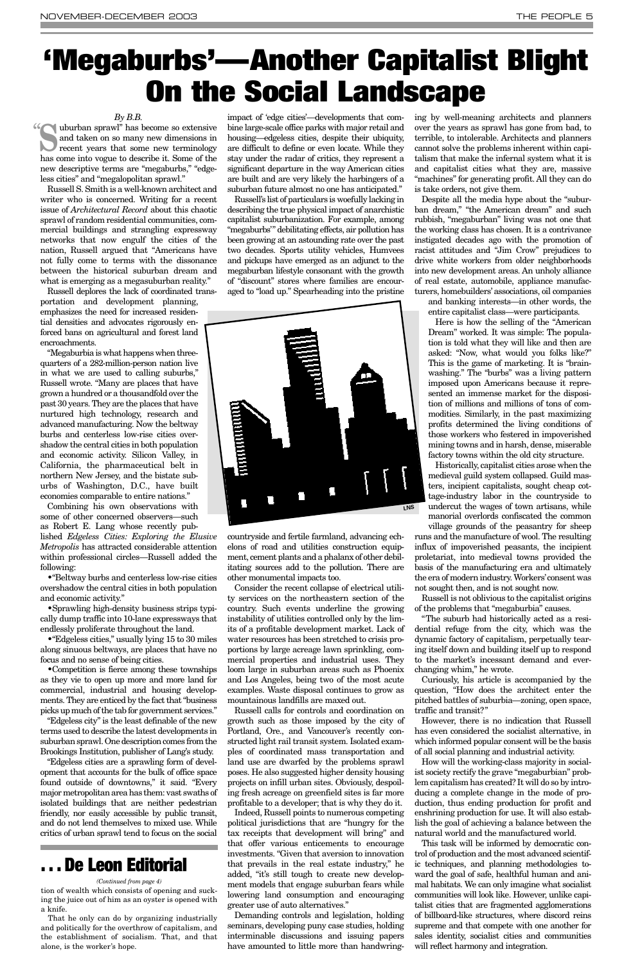#### *By B.B.*

Russell S. Smith is a well-known architect and writer who is concerned. Writing for a recent issue of *Architectural Record* about this chaotic sprawl of random residential communities, commercial buildings and strangling expressway networks that now engulf the cities of the nation, Russell argued that "Americans have not fully come to terms with the dissonance between the historical suburban dream and what is emerging as a megasuburban reality."

Russell deplores the lack of coordinated transportation and development planning, emphasizes the need for increased residential densities and advocates rigorously enforced bans on agricultural and forest land encroachments.

"Megaburbia is what happens when threequarters of a 282-million-person nation live in what we are used to calling suburbs," Russell wrote. "Many are places that have grown a hundred or a thousandfold over the past 30 years. They are the places that have nurtured high technology, research and advanced manufacturing. Now the beltway burbs and centerless low-rise cities overshadow the central cities in both population and economic activity. Silicon Valley, in California, the pharmaceutical belt in northern New Jersey, and the bistate suburbs of Washington, D.C., have built economies comparable to entire nations."

Combining his own observations with some of other concerned observers—such as Robert E. Lang whose recently pub-

lished *Edgeless Cities: Exploring the Elusive Metropolis* has attracted considerable attention within professional circles—Russell added the following:

•"Beltway burbs and centerless low-rise cities overshadow the central cities in both population and economic activity."

•Sprawling high-density business strips typically dump traffic into 10-lane expressways that endlessly proliferate throughout the land.

•"Edgeless cities," usually lying 15 to 30 miles along sinuous beltways, are places that have no focus and no sense of being cities.

•Competition is fierce among these townships as they vie to open up more and more land for commercial, industrial and housing developments. They are enticed by the fact that "business

picks up much of the tab for government services."

"Edgeless city" is the least definable of the new terms used to describe the latest developments in suburban sprawl. One description comes from the Brookings Institution, publisher of Lang's study.

"Edgeless cities are a sprawling form of development that accounts for the bulk of office space found outside of downtowns," it said. "Every major metropolitan area has them: vast swaths of isolated buildings that are neither pedestrian friendly, nor easily accessible by public transit, and do not lend themselves to mixed use. While critics of urban sprawl tend to focus on the social impact of 'edge cities'—developments that combine large-scale office parks with major retail and housing—edgeless cities, despite their ubiquity, are difficult to define or even locate. While they stay under the radar of critics, they represent a significant departure in the way American cities are built and are very likely the harbingers of a suburban future almost no one has anticipated."

Russell's list of particulars is woefully lacking in describing the true physical impact of anarchistic capitalist suburbanization. For example, among "megaburbs'" debilitating effects, air pollution has been growing at an astounding rate over the past two decades. Sports utility vehicles, Humvees and pickups have emerged as an adjunct to the megaburban lifestyle consonant with the growth of "discount" stores where families are encouraged to "load up." Spearheading into the pristine

countryside and fertile farmland, advancing echelons of road and utilities construction equipment, cement plants and a phalanx of other debilitating sources add to the pollution. There are other monumental impacts too.

**Suburban sprawl"** has become so extensive<br>and taken on so many new dimensions in<br>recent years that some new terminology<br>has a many integrange to density it. Some of the and taken on so many new dimensions in has come into vogue to describe it. Some of the new descriptive terms are "megaburbs," "edgeless cities" and "megalopolitan sprawl." "

> Consider the recent collapse of electrical utility services on the northeastern section of the country. Such events underline the growing instability of utilities controlled only by the limits of a profitable development market. Lack of water resources has been stretched to crisis proportions by large acreage lawn sprinkling, commercial properties and industrial uses. They loom large in suburban areas such as Phoenix and Los Angeles, being two of the most acute examples. Waste disposal continues to grow as mountainous landfills are maxed out. Russell calls for controls and coordination on growth such as those imposed by the city of Portland, Ore., and Vancouver's recently constructed light rail transit system. Isolated examples of coordinated mass transportation and land use are dwarfed by the problems sprawl poses. He also suggested higher density housing projects on infill urban sites. Obviously, despoiling fresh acreage on greenfield sites is far more profitable to a developer; that is why they do it. Indeed, Russell points to numerous competing political jurisdictions that are "hungry for the tax receipts that development will bring" and that offer various enticements to encourage investments. "Given that aversion to innovation that prevails in the real estate industry," he added, "it's still tough to create new development models that engage suburban fears while lowering land consumption and encouraging greater use of auto alternatives." Demanding controls and legislation, holding seminars, developing puny case studies, holding interminable discussions and issuing papers have amounted to little more than handwring

ing by well-meaning architects and planners over the years as sprawl has gone from bad, to terrible, to intolerable. Architects and planners cannot solve the problems inherent within capitalism that make the infernal system what it is and capitalist cities what they are, massive "machines" for generating profit. All they can do is take orders, not give them.

Despite all the media hype about the "suburban dream," "the American dream" and such rubbish, "megaburban" living was not one that the working class has chosen. It is a contrivance instigated decades ago with the promotion of racist attitudes and "Jim Crow" prejudices to drive white workers from older neighborhoods into new development areas. An unholy alliance of real estate, automobile, appliance manufacturers, homebuilders' associations, oil companies

and banking interests—in other words, the entire capitalist class—were participants.

Here is how the selling of the "American Dream" worked. It was simple: The population is told what they will like and then are asked: "Now, what would you folks like?" This is the game of marketing. It is "brainwashing." The "burbs" was a living pattern imposed upon Americans because it represented an immense market for the disposition of millions and millions of tons of commodities. Similarly, in the past maximizing profits determined the living conditions of those workers who festered in impoverished mining towns and in harsh, dense, miserable factory towns within the old city structure.

Historically, capitalist cities arose when the medieval guild system collapsed. Guild masters, incipient capitalists, sought cheap cottage-industry labor in the countryside to undercut the wages of town artisans, while manorial overlords confiscated the common village grounds of the peasantry for sheep

runs and the manufacture of wool. The resulting influx of impoverished peasants, the incipient proletariat, into medieval towns provided the basis of the manufacturing era and ultimately the era of modern industry. Workers'consent was not sought then, and is not sought now.

Russell is not oblivious to the capitalist origins of the problems that "megaburbia" causes.

"The suburb had historically acted as a residential refuge from the city, which was the dynamic factory of capitalism, perpetually tearing itself down and building itself up to respond to the market's incessant demand and everchanging whim," he wrote.

Curiously, his article is accompanied by the question, "How does the architect enter the pitched battles of suburbia—zoning, open space,

traffic and transit?"

However, there is no indication that Russell has even considered the socialist alternative, in which informed popular consent will be the basis of all social planning and industrial activity.

How will the working-class majority in socialist society rectify the grave "megaburbian" problem capitalism has created? It will do so by introducing a complete change in the mode of production, thus ending production for profit and enshrining production for use. It will also establish the goal of achieving a balance between the natural world and the manufactured world.

This task will be informed by democratic control of production and the most advanced scientific techniques, and planning methodologies toward the goal of safe, healthful human and animal habitats. We can only imagine what socialist communities will look like. However, unlike capitalist cities that are fragmented agglomerations of billboard-like structures, where discord reins supreme and that compete with one another for sales identity, socialist cities and communities will reflect harmony and integration.

# **'Megaburbs'—Another Capitalist Blight On the Social Landscape**

tion of wealth which consists of opening and sucking the juice out of him as an oyster is opened with a knife.

That he only can do by organizing industrially and politically for the overthrow of capitalism, and the establishment of socialism. That, and that alone, is the worker's hope.

#### *(Continued from page 4)*

### **. . . De Leon Editorial**

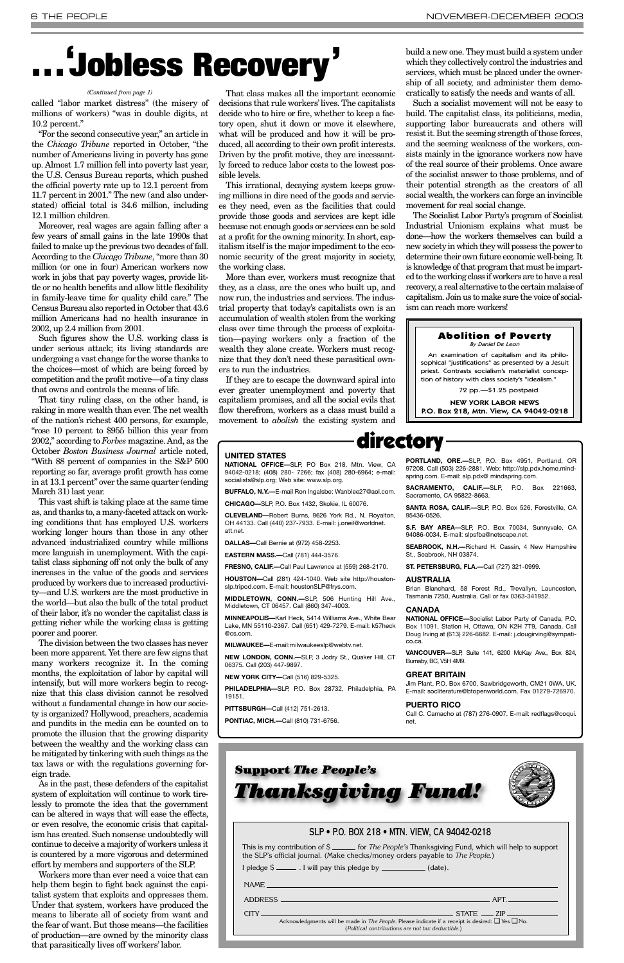called "labor market distress" (the misery of millions of workers) "was in double digits, at 10.2 percent."

"For the second consecutive year," an article in the *Chicago Tribune* reported in October, "the number of Americans living in poverty has gone up. Almost 1.7 million fell into poverty last year, the U.S. Census Bureau reports, which pushed the official poverty rate up to 12.1 percent from 11.7 percent in 2001." The new (and also understated) official total is 34.6 million, including 12.1 million children.

Moreover, real wages are again falling after a few years of small gains in the late 1990s that failed to make up the previous two decades of fall. According to the *Chicago Tribune*, "more than 30 million (or one in four) American workers now work in jobs that pay poverty wages, provide little or no health benefits and allow little flexibility in family-leave time for quality child care." The Census Bureau also reported in October that 43.6 million Americans had no health insurance in 2002, up 2.4 million from 2001.

Such figures show the U.S. working class is under serious attack; its living standards are undergoing a vast change for the worse thanks to the choices—most of which are being forced by competition and the profit motive—of a tiny class that owns and controls the means of life.

That tiny ruling class, on the other hand, is raking in more wealth than ever. The net wealth of the nation's richest 400 persons, for example, "rose 10 percent to \$955 billion this year from 2002," according to *Forbes* magazine. And, as the October *Boston Business Journal* article noted, "With 88 percent of companies in the S&P 500 reporting so far, average profit growth has come in at 13.1 percent" over the same quarter (ending March 31) last year.

This vast shift is taking place at the same time as, and thanks to, a many-faceted attack on working conditions that has employed U.S. workers working longer hours than those in any other advanced industrialized country while millions more languish in unemployment. With the capitalist class siphoning off not only the bulk of any increases in the value of the goods and services produced by workers due to increased productivity—and U.S. workers are the most productive in the world—but also the bulk of the total product of their labor, it's no wonder the capitalist class is getting richer while the working class is getting poorer and poorer.

The division between the two classes has never been more apparent. Yet there are few signs that many workers recognize it. In the coming months, the exploitation of labor by capital will intensify, but will more workers begin to recognize that this class division cannot be resolved without a fundamental change in how our socie-

ty is organized? Hollywood, preachers, academia and pundits in the media can be counted on to promote the illusion that the growing disparity between the wealthy and the working class can be mitigated by tinkering with such things as the tax laws or with the regulations governing foreign trade.

As in the past, these defenders of the capitalist system of exploitation will continue to work tirelessly to promote the idea that the government can be altered in ways that will ease the effects, or even resolve, the economic crisis that capitalism has created. Such nonsense undoubtedly will continue to deceive a majority of workers unless it is countered by a more vigorous and determined effort by members and supporters of the SLP.

Workers more than ever need a voice that can help them begin to fight back against the capitalist system that exploits and oppresses them. Under that system, workers have produced the means to liberate all of society from want and the fear of want. But those means—the facilities of production—are owned by the minority class that parasitically lives off workers' labor.

That class makes all the important economic decisions that rule workers'lives. The capitalists decide who to hire or fire, whether to keep a factory open, shut it down or move it elsewhere, what will be produced and how it will be produced, all according to their own profit interests. Driven by the profit motive, they are incessantly forced to reduce labor costs to the lowest possible levels.

This irrational, decaying system keeps growing millions in dire need of the goods and services they need, even as the facilities that could provide those goods and services are kept idle because not enough goods or services can be sold at a profit for the owning minority. In short, capitalism itself is the major impediment to the economic security of the great majority in society, the working class.

More than ever, workers must recognize that they, as a class, are the ones who built up, and now run, the industries and services. The industrial property that today's capitalists own is an accumulation of wealth stolen from the working class over time through the process of exploitation—paying workers only a fraction of the wealth they alone create. Workers must recognize that they don't need these parasitical owners to run the industries.

If they are to escape the downward spiral into ever greater unemployment and poverty that capitalism promises, and all the social evils that flow therefrom, workers as a class must build a movement to *abolish* the existing system and build a new one. They must build a system under which they collectively control the industries and services, which must be placed under the ownership of all society, and administer them democratically to satisfy the needs and wants of all.

Such a socialist movement will not be easy to build. The capitalist class, its politicians, media, supporting labor bureaucrats and others will resist it. But the seeming strength of those forces, and the seeming weakness of the workers, consists mainly in the ignorance workers now have of the real source of their problems. Once aware of the socialist answer to those problems, and of their potential strength as the creators of all social wealth, the workers can forge an invincible movement for real social change.

The Socialist Labor Party's program of Socialist Industrial Unionism explains what must be done—how the workers themselves can build a new society in which they will possess the power to determine their own future economic well-being. It is knowledge of that program that must be imparted to the working class if workers are to have a real recovery, a real alternative to the certain malaise of capitalism. Join us to make sure the voice of socialism can reach more workers!

### **. . . ' Jobless Recovery'**

#### SLP • P.O. BOX 218 • MTN. VIEW, CA 94042-0218

| This is my contribution of \$ ______ for <i>The People's</i> Thanksgiving Fund, which will help to support |
|------------------------------------------------------------------------------------------------------------|
| the SLP's official journal. (Make checks/money orders payable to <i>The People</i> .)                      |

| I pledge $S$ $\equiv$ | $\angle$ . I will pay this pledge by | (data). |
|-----------------------|--------------------------------------|---------|
|-----------------------|--------------------------------------|---------|

## **Support** *The People's Thanksgiving Fund!*



| NAME And the second contract of the second contract of the second contract of the second contract of the second contract of the second contract of the second contract of the second contract of the second contract of the se |     |
|--------------------------------------------------------------------------------------------------------------------------------------------------------------------------------------------------------------------------------|-----|
| ADDRESS AND ARREST AND A RESIDENCE AND A RESIDENCE OF A RESIDENCE OF A RESIDENCE OF A RESIDENCE OF A RESIDENCE                                                                                                                 | APT |
| Acknowledgments will be made in The People. Please indicate if a receipt is desired: $\Box$ Yes $\Box$ No.<br>(Political contributions are not tax deductible.)                                                                |     |
|                                                                                                                                                                                                                                |     |

#### *(Continued from page 1)*

### directory

#### **UNITED STATES**

**NATIONAL OFFICE—**SLP, PO Box 218, Mtn. View, CA 94042-0218; (408) 280- 7266; fax (408) 280-6964; e-mail: socialists@slp.org; Web site: www.slp.org.

**BUFFALO, N.Y.—**E-mail Ron Ingalsbe: Wanblee27@aol.com.

**CHICAGO—**SLP, P.O. Box 1432, Skokie, IL 60076.

**CLEVELAND—**Robert Burns, 9626 York Rd., N. Royalton, OH 44133. Call (440) 237-7933. E-mail: j.oneil@worldnet. att.net.

**DALLAS—**Call Bernie at (972) 458-2253.

**EASTERN MASS.—**Call (781) 444-3576.

**FRESNO, CALIF.—**Call Paul Lawrence at (559) 268-2170.

**HOUSTON—**Call (281) 424-1040. Web site http://houstonslp.tripod.com. E-mail: houstonSLP@frys.com.

**MIDDLETOWN, CONN.—**SLP, 506 Hunting Hill Ave., Middletown, CT 06457. Call (860) 347-4003.

**MINNEAPOLIS—**Karl Heck, 5414 Williams Ave., White Bear Lake, MN 55110-2367. Call (651) 429-7279. E-mail: k57heck @cs.com.

**MILWAUKEE—**E-mail:milwaukeeslp@webtv.net.

**NEW LONDON, CONN.—**SLP, 3 Jodry St., Quaker Hill, CT 06375. Call (203) 447-9897.

**NEW YORK CITY—**Call (516) 829-5325.

**PHILADELPHIA—**SLP, P.O. Box 28732, Philadelphia, PA 19151.

**PITTSBURGH—**Call (412) 751-2613.

**PONTIAC, MICH.—**Call (810) 731-6756.

**PORTLAND, ORE.—**SLP, P.O. Box 4951, Portland, OR 97208. Call (503) 226-2881. Web: http://slp.pdx.home.mindspring.com. E-mail: slp.pdx@ mindspring.com.

**SACRAMENTO, CALIF.—**SLP, P.O. Box 221663, Sacramento, CA 95822-8663.

**SANTA ROSA, CALIF.—**SLP, P.O. Box 526, Forestville, CA 95436-0526.

**S.F. BAY AREA—**SLP, P.O. Box 70034, Sunnyvale, CA 94086-0034. E-mail: slpsfba@netscape.net.

**SEABROOK, N.H.—**Richard H. Cassin, 4 New Hampshire St., Seabrook, NH 03874.

**ST. PETERSBURG, FLA.—**Call (727) 321-0999.

#### **AUSTRALIA**

Brian Blanchard, 58 Forest Rd., Trevallyn, Launceston, Tasmania 7250, Australia. Call or fax 0363-341952.

#### **CANADA**

**NATIONAL OFFICE—**Socialist Labor Party of Canada, P.O. Box 11091, Station H, Ottawa, ON K2H 7T9, Canada. Call Doug Irving at (613) 226-6682. E-mail: j.dougirving@sympatico.ca.

**VANCOUVER—**SLP, Suite 141, 6200 McKay Ave., Box 824, Burnaby, BC, V5H 4M9.

#### **GREAT BRITAIN**

Jim Plant, P.O. Box 6700, Sawbridgeworth, CM21 0WA, UK. E-mail: socliterature@btopenworld.com. Fax 01279-726970.

#### **PUERTO RICO**

Call C. Camacho at (787) 276-0907. E-mail: redflags@coqui. net.

#### Abolition of Poverty By Daniel De Leon

An examination of capitalism and its philo-

sophical "justifications" as presented by a Jesuit priest. Contrasts socialism's materialist conception of history with class society's "idealism."

72 pp.—\$1.25 postpaid

NEW YORK LABOR NEWS P.O. Box 218, Mtn. View, CA 94042-0218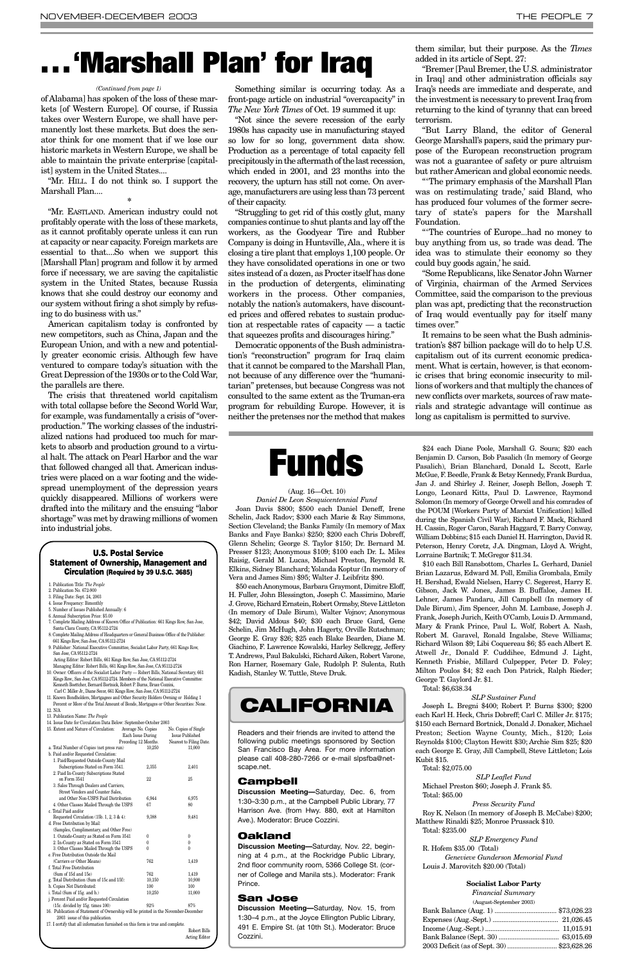of Alabama] has spoken of the loss of these markets [of Western Europe]. Of course, if Russia takes over Western Europe, we shall have permanently lost these markets. But does the senator think for one moment that if we lose our historic markets in Western Europe, we shall be able to maintain the private enterprise [capitalist] system in the United States....

"Mr. HILL. I do not think so. I support the Marshall Plan....

**\***

"Mr. EASTLAND. American industry could not profitably operate with the loss of these markets, as it cannot profitably operate unless it can run at capacity or near capacity. Foreign markets are essential to that....So when we support this [Marshall Plan] program and follow it by armed force if necessary, we are saving the capitalistic system in the United States, because Russia knows that she could destroy our economy and our system without firing a shot simply by refusing to do business with us."

American capitalism today is confronted by new competitors, such as China, Japan and the European Union, and with a new and potentially greater economic crisis. Although few have ventured to compare today's situation with the Great Depression of the 1930s or to the Cold War, the parallels are there.

The crisis that threatened world capitalism with total collapse before the Second World War, for example, was fundamentally a crisis of "overproduction." The working classes of the industrialized nations had produced too much for markets to absorb and production ground to a virtual halt. The attack on Pearl Harbor and the war that followed changed all that. American industries were placed on a war footing and the widespread unemployment of the depression years quickly disappeared. Millions of workers were drafted into the military and the ensuing "labor shortage" was met by drawing millions of women into industrial jobs.

Something similar is occurring today. As a front-page article on industrial "overcapacity" in *The New York Times* of Oct. 19 summed it up:

"Not since the severe recession of the early 1980s has capacity use in manufacturing stayed so low for so long, government data show. Production as a percentage of total capacity fell precipitously in the aftermath of the last recession, which ended in 2001, and 23 months into the recovery, the upturn has still not come. On average, manufacturers are using less than 73 percent of their capacity.

"Struggling to get rid of this costly glut, many companies continue to shut plants and lay off the workers, as the Goodyear Tire and Rubber Company is doing in Huntsville, Ala., where it is closing a tire plant that employs 1,100 people. Or they have consolidated operations in one or two sites instead of a dozen, as Procter itself has done in the production of detergents, eliminating workers in the process. Other companies, notably the nation's automakers, have discounted prices and offered rebates to sustain production at respectable rates of capacity — a tactic that squeezes profits and discourages hiring."

Democratic opponents of the Bush administration's "reconstruction" program for Iraq claim that it cannot be compared to the Marshall Plan, not because of any difference over the "humanitarian" pretenses, but because Congress was not consulted to the same extent as the Truman-era program for rebuilding Europe. However, it is neither the pretenses nor the method that makes



"Bremer [Paul Bremer, the U.S. administrator in Iraq] and other administration officials say Iraq's needs are immediate and desperate, and the investment is necessary to prevent Iraq from returning to the kind of tyranny that can breed terrorism.

"But Larry Bland, the editor of General George Marshall's papers, said the primary purpose of the European reconstruction program was not a guarantee of safety or pure altruism but rather American and global economic needs.

"'The primary emphasis of the Marshall Plan was on restimulating trade,' said Bland, who has produced four volumes of the former secretary of state's papers for the Marshall Foundation.

"'The countries of Europe...had no money to buy anything from us, so trade was dead. The idea was to stimulate their economy so they could buy goods again,' he said.

"Some Republicans, like Senator John Warner of Virginia, chairman of the Armed Services Committee, said the comparison to the previous plan was apt, predicting that the reconstruction of Iraq would eventually pay for itself many times over."

It remains to be seen what the Bush administration's \$87 billion package will do to help U.S. capitalism out of its current economic predicament. What is certain, however, is that economic crises that bring economic insecurity to millions of workers and that multiply the chances of new conflicts over markets, sources of raw materials and strategic advantage will continue as long as capitalism is permitted to survive.

#### (Aug. 16—Oct. 10)

*Daniel De Leon Sesquicentennial Fund* Joan Davis \$800; \$500 each Daniel Deneff, Irene Schelin, Jack Radov; \$300 each Marie & Ray Simmons, Section Cleveland; the Banks Family (In memory of Max Banks and Faye Banks) \$250; \$200 each Chris Dobreff, Glenn Schelin; George S. Taylor \$150; Dr. Bernard M. Presser \$123; Anonymous \$109; \$100 each Dr. L. Miles Raisig, Gerald M. Lucas, Michael Preston, Reynold R. Elkins, Sidney Blanchard; Yolanda Koptur (In memory of Vera and James Sim) \$95; Walter J. Leibfritz \$90.

\$50 each Anonymous, Barbara Graymont, Dimitre Eloff, H. Fuller, John Blessington, Joseph C. Massimino, Marie J. Grove, Richard Ernstein, Robert Ormsby, Steve Littleton (In memory of Dale Birum), Walter Vojnov; Anonymous \$42; David Aldous \$40; \$30 each Bruce Gard, Gene Schelin, Jim McHugh, John Hagerty, Orville Rutschman; George E. Gray \$26; \$25 each Blake Bearden, Diane M. Giachino, F. Lawrence Kowalski, Harley Selkregg, Jeffery T. Andrews, Paul Bakulski, Richard Aiken, Robert Varone, Ron Harner, Rosemary Gale, Rudolph P. Sulenta, Ruth Kadish, Stanley W. Tuttle, Steve Druk.

\$24 each Diane Poole, Marshall G. Soura; \$20 each Benjamin D. Carson, Bob Pasalich (In memory of George Pasalich), Brian Blanchard, Donald L. Sccott, Earle McGue, F. Beedle, Frank & Betsy Kennedy, Frank Burdua, Jan J. and Shirley J. Reiner, Joseph Bellon, Joseph T. Longo, Leonard Kitts, Paul D. Lawrence, Raymond Solomon (In memory of George Orwell and his comrades of the POUM [Workers Party of Marxist Unification] killed during the Spanish Civil War), Richard F. Mack, Richard H. Cassin, Roger Caron, Sarah Haggard, T. Barry Conway, William Dobbins; \$15 each Daniel H. Harrington, David R. Peterson, Henry Coretz, J.A. Dingman, Lloyd A. Wright, Lorraine Bartnik; T. McGregor \$11.34.

\$10 each Bill Ransbottom, Charles L. Gerhard, Daniel Brian Lazarus, Edward M. Poll, Emilia Grombala, Emily H. Bershad, Ewald Nielsen, Harry C. Segerest, Harry E. Gibson, Jack W. Jones, James B. Buffaloe, James H. Lehner, James Pandaru, Jill Campbell (In memory of Dale Birum), Jim Spencer, John M. Lambase, Joseph J. Frank, Joseph Jurich, Keith O'Camb, Louis D. Armmand, Mary & Frank Prince, Paul L. Wolf, Robert A. Nash, Robert M. Garavel, Ronald Ingalsbe, Steve Williams; Richard Wilson \$9; Libi Coquereau \$6; \$5 each Albert E. Atwell Jr., Donald F. Cuddihee, Edmund J. Light, Kenneth Frisbie, Millard Culpepper, Peter D. Foley; Milton Poulos \$4; \$2 each Don Patrick, Ralph Rieder; George T. Gaylord Jr. \$1.

Total: \$6,638.34

*SLP Sustainer Fund* Joseph L. Bregni \$400; Robert P. Burns \$300; \$200 each Karl H. Heck, Chris Dobreff; Carl C. Miller Jr. \$175; \$150 each Bernard Bortnick, Donald J. Donaker, Michael Preston; Section Wayne County, Mich., \$120; Lois Reynolds \$100; Clayton Hewitt \$30; Archie Sim \$25; \$20 each George E. Gray, Jill Campbell, Steve Littleton; Lois Kubit \$15.

Total: \$2,075.00

*SLP Leaflet Fund* Michael Preston \$60; Joseph J. Frank \$5. Total: \$65.00

*Press Security Fund* Roy K. Nelson (In memory of Joseph B. McCabe) \$200; Matthew Rinaldi \$25; Monroe Prussack \$10. Total: \$235.00

*SLP Emergency Fund* R. Hofem \$35.00 (Total) *Genevieve Gunderson Memorial Fund* Louis J. Marovitch \$20.00 (Total)

#### **Socialist Labor Party**

*Financial Summary*

(August-September 2003)

| 2003 Deficit (as of Sept. 30)  \$23,628.26 |  |
|--------------------------------------------|--|

# **. . . 'Marshall Plan' for Iraq**

#### *(Continued from page 1)*

#### **U.S. Postal Service Statement of Ownership, Management and Circulation (Required by 39 U.S.C. 3685)**

- 1. Publication Title: *The People*
- 2. Publication No. 672-900
- 3. Filing Date: Sept. 24, 2003 4. Issue Frequency: Bimonthly
- 5. Number of Issues Published Annually: 6
- 6. Annual Subscription Price: \$5.00
- 7. Complete Mailing Address of Known Office of Publication: 661 Kings Row, San Jose, Santa Clara County, CA 95112-2724
- 8. Complete Mailing Address of Headquarters or General Business Office of the Publish 661 Kings Row, San Jose, CA 95112-2724 9. Publisher: National Executive Committee, Socialist Labor Party, 661 Kings Row,
- San Jose, CA 95112-2724 Acting Editor: Robert Bills, 661 Kings Row, San Jose, CA 95112-2724
- Managing Editor: Robert Bills, 661 Kings Row, San Jose, CA 95112-2724 10. Owner: Officers of the Socialist Labor Party — Robert Bills, National Secretary, 661 Kings Row., San Jose, CA 95112-2724. Members of the National Executive Comm Kenneth Boettcher, Bernard Bortnick, Robert P. Burns, Bruce Cozzini,
- Carl C. Miller Jr., Diane Secor, 661 Kings Row, San Jose, CA 95112-2724 11. Known Bondholders, Mortgagees and Other Security Holders Owning or Holding 1 Percent or More of the Total Amount of Bonds, Mortgages or Other Securities: None.

| 12. N/A                                                                            |                      |        |                         |  |
|------------------------------------------------------------------------------------|----------------------|--------|-------------------------|--|
| 13. Publication Name: The People                                                   |                      |        |                         |  |
| 14. Issue Date for Circulation Data Below: September-October 2003                  |                      |        |                         |  |
| 15. Extent and Nature of Circulation:                                              | Average No. Copies   |        | No. Copies of Single    |  |
|                                                                                    | Each Issue During    |        | <b>Issue Published</b>  |  |
|                                                                                    | Preceding 12 Months. |        | Nearest to Filing Date. |  |
| a. Total Number of Copies (net press run)                                          |                      | 10,250 | 11,000                  |  |
| b. Paid and/or Requested Circulation:                                              |                      |        |                         |  |
| 1. Paid/Requested Outside-County Mail                                              |                      |        |                         |  |
| Subscriptions Stated on Form 3541.                                                 |                      | 2,355  | 2,401                   |  |
| 2. Paid In-County Subscriptions Stated                                             |                      |        |                         |  |
| on Form 3541                                                                       |                      | 22     | $25\,$                  |  |
| 3. Sales Through Dealers and Carriers,                                             |                      |        |                         |  |
| Street Vendors and Counter Sales,                                                  |                      |        |                         |  |
| and Other Non-USPS Paid Distribution                                               | 6,944                | 6,975  |                         |  |
| 4. Other Classes Mailed Through the USPS                                           |                      | 67     | 80                      |  |
| c. Total Paid and/or                                                               |                      |        |                         |  |
| Requested Circulation $(15b. 1, 2, 3 & 4)$ :                                       |                      | 9,388  | 9,481                   |  |
| d. Free Distribution by Mail:                                                      |                      |        |                         |  |
| (Samples, Complimentary, and Other Free)                                           |                      |        |                         |  |
| 1. Outside-County as Stated on Form 3541                                           |                      | 0      | $\theta$                |  |
| 2. In-County as Stated on Form 3541                                                |                      | 0      | $\theta$                |  |
| 3. Other Classes Mailed Through the USPS                                           |                      | 0      | $\theta$                |  |
| e. Free Distribution Outside the Mail                                              |                      |        |                         |  |
| (Carriers or Other Means)                                                          |                      | 762    | 1,419                   |  |
| f. Total Free Distribution                                                         |                      |        |                         |  |
| (Sum of 15d and 15e)                                                               |                      | 762    | 1,419                   |  |
| g. Total Distribution (Sum of 15c and 15f):                                        |                      | 10,150 | 10,900                  |  |
| h. Copies Not Distributed:                                                         |                      | 100    | 100                     |  |
| i. Total (Sum of 15g. and h.)                                                      |                      | 10,250 | 11,000                  |  |
| j. Percent Paid and/or Requested Circulation                                       |                      |        |                         |  |
| $(15c. \text{ divided by } 15g. \text{ times } 100)$<br>92%                        |                      |        | 87%                     |  |
| 16. Publication of Statement of Ownership will be printed in the November-December |                      |        |                         |  |
| 2003 issue of this publication.                                                    |                      |        |                         |  |
| 17. I certify that all information furnished on this form is true and complete.    |                      |        |                         |  |
|                                                                                    |                      |        | Robert Bills            |  |
|                                                                                    |                      |        | <b>Acting Editor</b>    |  |
|                                                                                    |                      |        |                         |  |





Readers and their friends are invited to attend the following public meetings sponsored by Section San Francisco Bay Area. For more information please call 408-280-7266 or e-mail slpsfba@netscape.net.

#### **Campbell**

**Discussion Meeting—**Saturday, Dec. 6, from 1:30–3:30 p.m., at the Campbell Public Library, 77 Harrison Ave. (from Hwy. 880, exit at Hamilton Ave.). Moderator: Bruce Cozzini.

#### **Oakland**

**Discussion Meeting—**Saturday, Nov. 22, beginning at 4 p.m., at the Rockridge Public Library, 2nd floor community room, 5366 College St. (corner of College and Manila sts.). Moderator: Frank Prince.

#### **San Jose**

**Discussion Meeting—**Saturday, Nov. 15, from 1:30–4 p.m., at the Joyce Ellington Public Library, 491 E. Empire St. (at 10th St.). Moderator: Bruce Cozzini.